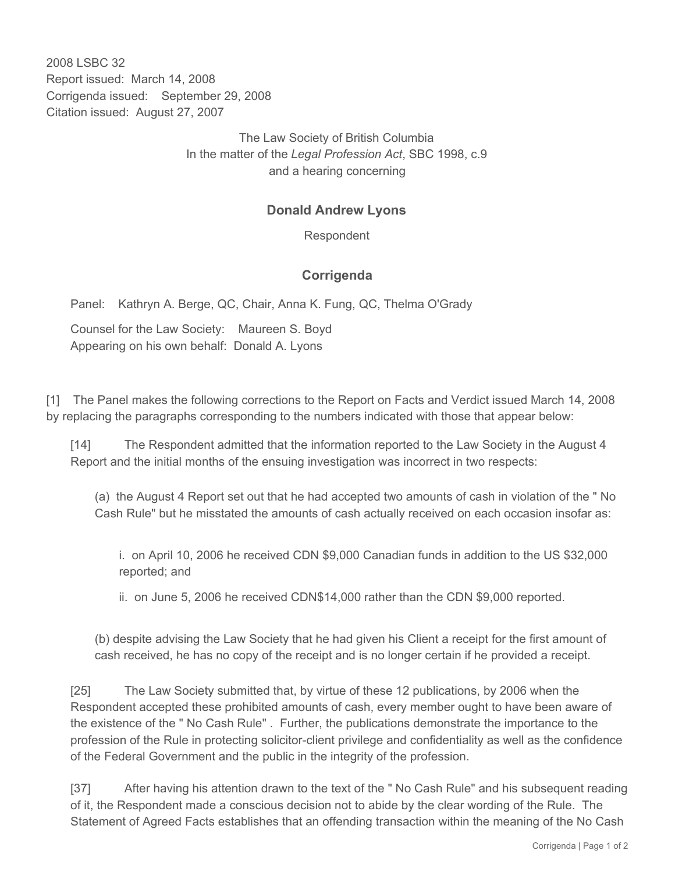2008 LSBC 32 Report issued: March 14, 2008 Corrigenda issued: September 29, 2008 Citation issued: August 27, 2007

> The Law Society of British Columbia In the matter of the *Legal Profession Act*, SBC 1998, c.9 and a hearing concerning

## **Donald Andrew Lyons**

Respondent

## **Corrigenda**

Panel: Kathryn A. Berge, QC, Chair, Anna K. Fung, QC, Thelma O'Grady

Counsel for the Law Society: Maureen S. Boyd Appearing on his own behalf: Donald A. Lyons

[1] The Panel makes the following corrections to the Report on Facts and Verdict issued March 14, 2008 by replacing the paragraphs corresponding to the numbers indicated with those that appear below:

[14] The Respondent admitted that the information reported to the Law Society in the August 4 Report and the initial months of the ensuing investigation was incorrect in two respects:

(a) the August 4 Report set out that he had accepted two amounts of cash in violation of the " No Cash Rule" but he misstated the amounts of cash actually received on each occasion insofar as:

i. on April 10, 2006 he received CDN \$9,000 Canadian funds in addition to the US \$32,000 reported; and

ii. on June 5, 2006 he received CDN\$14,000 rather than the CDN \$9,000 reported.

(b) despite advising the Law Society that he had given his Client a receipt for the first amount of cash received, he has no copy of the receipt and is no longer certain if he provided a receipt.

[25] The Law Society submitted that, by virtue of these 12 publications, by 2006 when the Respondent accepted these prohibited amounts of cash, every member ought to have been aware of the existence of the " No Cash Rule" . Further, the publications demonstrate the importance to the profession of the Rule in protecting solicitor-client privilege and confidentiality as well as the confidence of the Federal Government and the public in the integrity of the profession.

[37] After having his attention drawn to the text of the " No Cash Rule" and his subsequent reading of it, the Respondent made a conscious decision not to abide by the clear wording of the Rule. The Statement of Agreed Facts establishes that an offending transaction within the meaning of the No Cash